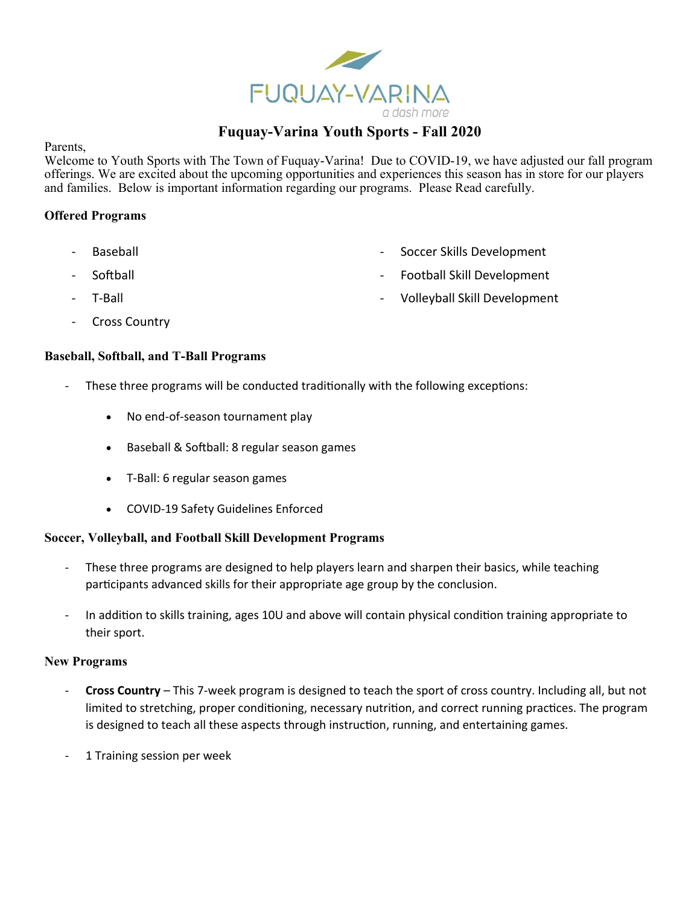

# **Fuquay-Varina Youth Sports - Fall 2020**

Parents,

Welcome to Youth Sports with The Town of Fuquay-Varina! Due to COVID-19, we have adjusted our fall program offerings. We are excited about the upcoming opportunities and experiences this season has in store for our players and families. Below is important information regarding our programs. Please Read carefully.

# **Offered Programs**

- 
- 
- 
- Cross Country

# **Baseball, Softball, and T-Ball Programs**

- These three programs will be conducted traditionally with the following exceptions:
	- No end-of-season tournament play
	- Baseball & Softball: 8 regular season games
	- T-Ball: 6 regular season games
	- COVID-19 Safety Guidelines Enforced

## **Soccer, Volleyball, and Football Skill Development Programs**

- These three programs are designed to help players learn and sharpen their basics, while teaching participants advanced skills for their appropriate age group by the conclusion.
- In addition to skills training, ages 10U and above will contain physical condition training appropriate to their sport.

## **New Programs**

- **Cross Country** This 7-week program is designed to teach the sport of cross country. Including all, but not limited to stretching, proper conditioning, necessary nutrition, and correct running practices. The program is designed to teach all these aspects through instruction, running, and entertaining games.
- 1 Training session per week
- Baseball **Baseball Baseball Soccer Skills Development**
- Softball Football Skill Development
- T-Ball  **T-Ball** Volleyball Skill Development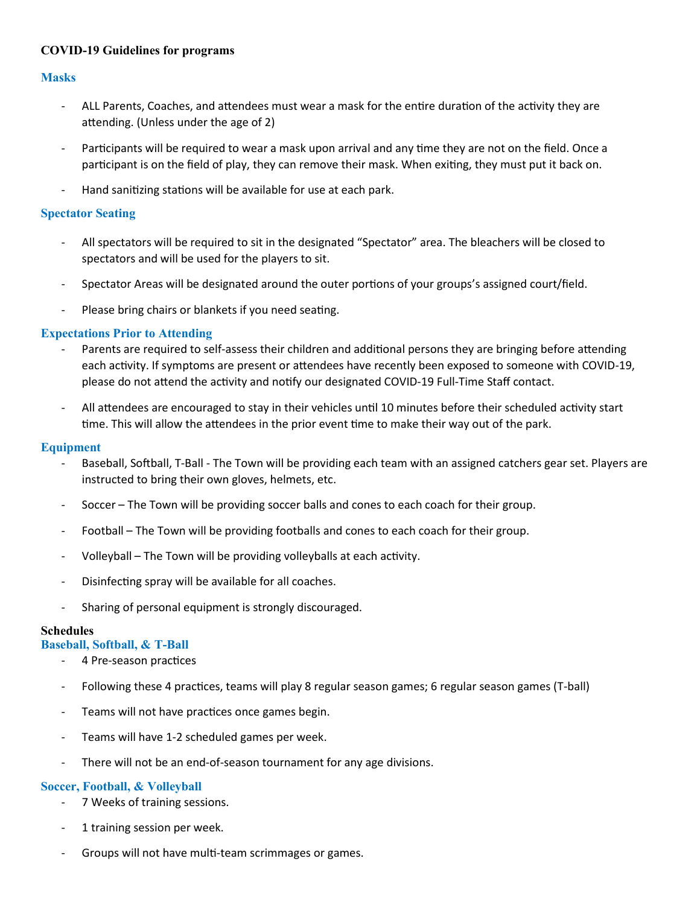# **COVID-19 Guidelines for programs**

## **Masks**

- ALL Parents, Coaches, and attendees must wear a mask for the entire duration of the activity they are attending. (Unless under the age of 2)
- Participants will be required to wear a mask upon arrival and any time they are not on the field. Once a participant is on the field of play, they can remove their mask. When exiting, they must put it back on.
- Hand sanitizing stations will be available for use at each park.

#### **Spectator Seating**

- All spectators will be required to sit in the designated "Spectator" area. The bleachers will be closed to spectators and will be used for the players to sit.
- Spectator Areas will be designated around the outer portions of your groups's assigned court/field.
- Please bring chairs or blankets if you need seating.

#### **Expectations Prior to Attending**

- Parents are required to self-assess their children and additional persons they are bringing before attending each activity. If symptoms are present or attendees have recently been exposed to someone with COVID-19, please do not attend the activity and notify our designated COVID-19 Full-Time Staff contact.
- All attendees are encouraged to stay in their vehicles until 10 minutes before their scheduled activity start time. This will allow the attendees in the prior event time to make their way out of the park.

#### **Equipment**

- Baseball, Softball, T-Ball The Town will be providing each team with an assigned catchers gear set. Players are instructed to bring their own gloves, helmets, etc.
- Soccer The Town will be providing soccer balls and cones to each coach for their group.
- Football The Town will be providing footballs and cones to each coach for their group.
- Volleyball The Town will be providing volleyballs at each activity.
- Disinfecting spray will be available for all coaches.
- Sharing of personal equipment is strongly discouraged.

#### **Schedules**

#### **Baseball, Softball, & T-Ball**

- 4 Pre-season practices
- Following these 4 practices, teams will play 8 regular season games; 6 regular season games (T-ball)
- Teams will not have practices once games begin.
- Teams will have 1-2 scheduled games per week.
- There will not be an end-of-season tournament for any age divisions.

## **Soccer, Football, & Volleyball**

- 7 Weeks of training sessions.
- 1 training session per week.
- Groups will not have multi-team scrimmages or games.